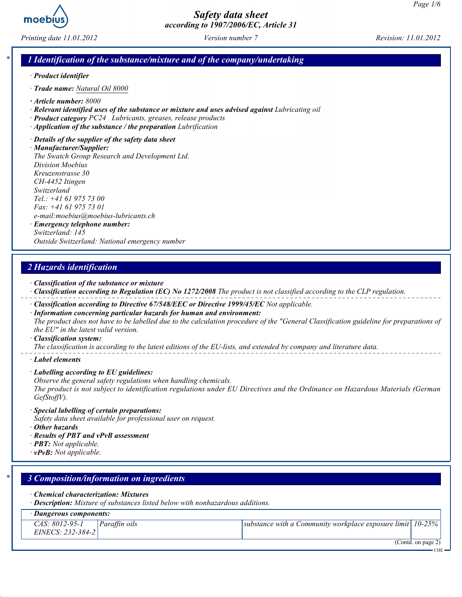

Printing date 11.01.2012 Version number 7 Revision: 11.01.2012

### 1 Identification of the substance/mixture and of the company/undertaking

- · Product identifier
- · Trade name: Natural Oil 8000
- · Article number: 8000
- · Relevant identified uses of the substance or mixture and uses advised against Lubricating oil
- · Product category PC24 Lubricants, greases, release products
- · Application of the substance / the preparation Lubrification
- · Details of the supplier of the safety data sheet

· Manufacturer/Supplier: The Swatch Group Research and Development Ltd. Division Moebius Kreuzenstrasse 30 CH-4452 Itingen Switzerland Tel.: +41 61 975 73 00 Fax: +41 61 975 73 01 e-mail:moebius@moebius-lubricants.ch · Emergency telephone number: Switzerland: 145

Outside Switzerland: National emergency number

### 2 Hazards identification

- · Classification of the substance or mixture
- · Classification according to Regulation (EC) No 1272/2008 The product is not classified according to the CLP regulation.
- · Classification according to Directive 67/548/EEC or Directive 1999/45/EC Not applicable.
- · Information concerning particular hazards for human and environment: The product does not have to be labelled due to the calculation procedure of the "General Classification guideline for preparations of the EU" in the latest valid version.
- · Classification system:

The classification is according to the latest editions of the EU-lists, and extended by company and literature data.

- · Label elements
- · Labelling according to EU guidelines:
- Observe the general safety regulations when handling chemicals.

The product is not subject to identification regulations under EU Directives and the Ordinance on Hazardous Materials (German GefStoffV).

- · Special labelling of certain preparations:
- Safety data sheet available for professional user on request.
- · Other hazards
- · Results of PBT and vPvB assessment
- $\cdot$  **PBT:** Not applicable.
- $\cdot$  vPvB: Not applicable.

| $\ast$ 1 |                                     | 3 Composition/information on ingredients                                                                                      |                                                              |  |  |  |  |  |
|----------|-------------------------------------|-------------------------------------------------------------------------------------------------------------------------------|--------------------------------------------------------------|--|--|--|--|--|
|          |                                     | $\cdot$ Chemical characterization: Mixtures<br>· Description: Mixture of substances listed below with nonhazardous additions. |                                                              |  |  |  |  |  |
|          | Dangerous components:               |                                                                                                                               |                                                              |  |  |  |  |  |
|          | CAS: 8012-95-1<br>EINECS: 232-384-2 | Paraffin oils                                                                                                                 | substance with a Community workplace exposure limit   10-25% |  |  |  |  |  |
|          |                                     |                                                                                                                               | (Contd. on page 2)<br>CHE <sup>-</sup>                       |  |  |  |  |  |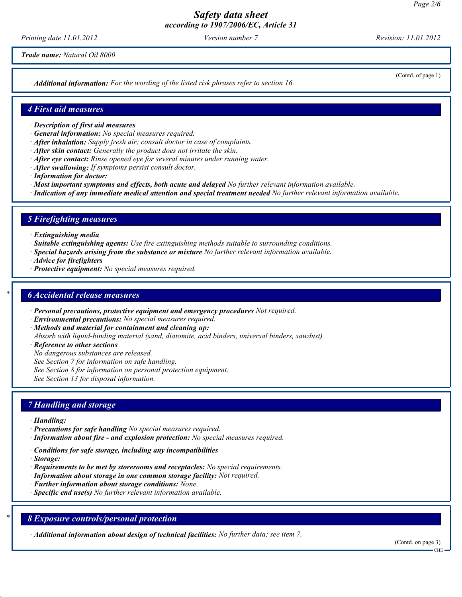Printing date 11.01.2012 Version number 7 Revision: 11.01.2012

Trade name: Natural Oil 8000

· Additional information: For the wording of the listed risk phrases refer to section 16.

(Contd. of page 1)

#### 4 First aid measures

- · Description of first aid measures
- · General information: No special measures required.
- · After inhalation: Supply fresh air; consult doctor in case of complaints.
- · After skin contact: Generally the product does not irritate the skin.
- $\cdot$  After eve contact: Rinse opened eve for several minutes under running water.
- · After swallowing: If symptoms persist consult doctor.
- · Information for doctor:
- · Most important symptoms and effects, both acute and delayed No further relevant information available.
- · Indication of any immediate medical attention and special treatment needed No further relevant information available.

### 5 Firefighting measures

- · Extinguishing media
- · Suitable extinguishing agents: Use fire extinguishing methods suitable to surrounding conditions.
- · Special hazards arising from the substance or mixture No further relevant information available.
- · Advice for firefighters
- · Protective equipment: No special measures required.

#### **6 Accidental release measures**

- · Personal precautions, protective equipment and emergency procedures Not required.
- · Environmental precautions: No special measures required.
- · Methods and material for containment and cleaning up:
- Absorb with liquid-binding material (sand, diatomite, acid binders, universal binders, sawdust).
- · Reference to other sections
- No dangerous substances are released.
- See Section 7 for information on safe handling.
- See Section 8 for information on personal protection equipment.

See Section 13 for disposal information.

#### 7 Handling and storage

- · Handling:
- · Precautions for safe handling No special measures required.
- · Information about fire and explosion protection: No special measures required.
- · Conditions for safe storage, including any incompatibilities
- · Storage:
- $\cdot$  Requirements to be met by storerooms and receptacles: No special requirements.
- · Information about storage in one common storage facility: Not required.
- · Further information about storage conditions: None.
- $\cdot$  Specific end use(s) No further relevant information available.

### 8 Exposure controls/personal protection

· Additional information about design of technical facilities: No further data; see item 7.

(Contd. on page 3)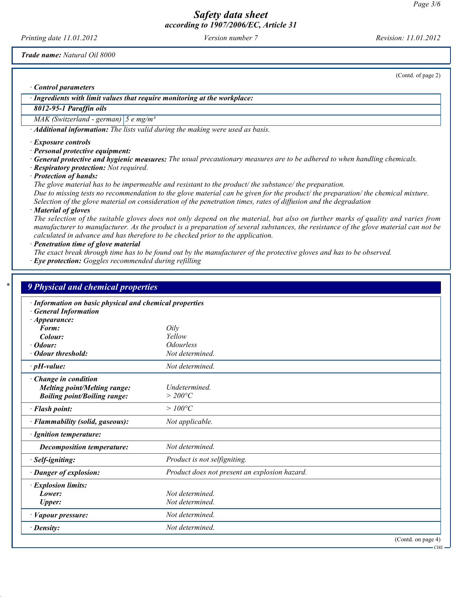Printing date 11.01.2012 Version number 7 Revision: 11.01.2012

Trade name: Natural Oil 8000

(Contd. of page 2)

CHE

· Control parameters

· Ingredients with limit values that require monitoring at the workplace:

## 8012-95-1 Paraffin oils

MAK (Switzerland - german)  $\left|5 \text{ e mg/m}^3\right|$ 

· Additional information: The lists valid during the making were used as basis.

· Exposure controls

· Personal protective equipment:

· General protective and hygienic measures: The usual precautionary measures are to be adhered to when handling chemicals.

· Respiratory protection: Not required.

· Protection of hands:

The glove material has to be impermeable and resistant to the product/ the substance/ the preparation. Due to missing tests no recommendation to the glove material can be given for the product/ the preparation/ the chemical mixture. Selection of the glove material on consideration of the penetration times, rates of diffusion and the degradation

· Material of gloves

The selection of the suitable gloves does not only depend on the material, but also on further marks of quality and varies from manufacturer to manufacturer. As the product is a preparation of several substances, the resistance of the glove material can not be calculated in advance and has therefore to be checked prior to the application.

· Penetration time of glove material

The exact break through time has to be found out by the manufacturer of the protective gloves and has to be observed.

· Eye protection: Goggles recommended during refilling

| · Information on basic physical and chemical properties |                                               |  |  |  |
|---------------------------------------------------------|-----------------------------------------------|--|--|--|
| <b>General Information</b>                              |                                               |  |  |  |
| $\cdot$ Appearance:                                     |                                               |  |  |  |
| Form:                                                   | Oily                                          |  |  |  |
| Colour:                                                 | Yellow                                        |  |  |  |
| · Odour:                                                | <i><b>Odourless</b></i>                       |  |  |  |
| Odour threshold:                                        | Not determined.                               |  |  |  |
| $\cdot$ pH-value:                                       | Not determined.                               |  |  |  |
| Change in condition                                     |                                               |  |  |  |
| <b>Melting point/Melting range:</b>                     | Undetermined.                                 |  |  |  |
| <b>Boiling point/Boiling range:</b>                     | $>$ 200°C                                     |  |  |  |
| · Flash point:                                          | $>100^{\circ}C$                               |  |  |  |
| · Flammability (solid, gaseous):                        | Not applicable.                               |  |  |  |
| · Ignition temperature:                                 |                                               |  |  |  |
| <b>Decomposition temperature:</b>                       | Not determined.                               |  |  |  |
| · Self-igniting:                                        | Product is not selfigniting.                  |  |  |  |
| · Danger of explosion:                                  | Product does not present an explosion hazard. |  |  |  |
| · Explosion limits:                                     |                                               |  |  |  |
| Lower:                                                  | Not determined.                               |  |  |  |
| <b>Upper:</b>                                           | Not determined.                               |  |  |  |
| · Vapour pressure:                                      | Not determined.                               |  |  |  |
| $\cdot$ Density:                                        | Not determined.                               |  |  |  |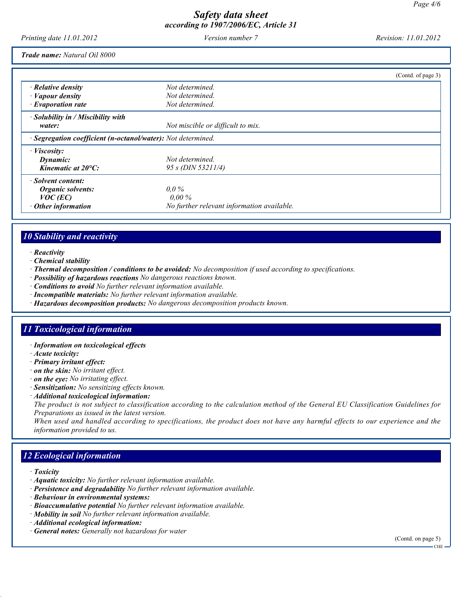Printing date 11.01.2012 Version number 7 Revision: 11.01.2012

Trade name: Natural Oil 8000

|                                                              |                                            | (Contd. of page 3) |
|--------------------------------------------------------------|--------------------------------------------|--------------------|
| $\cdot$ Relative density                                     | Not determined.                            |                    |
| $\cdot$ <i>Vapour density</i>                                | Not determined.                            |                    |
| $\cdot$ Evaporation rate                                     | Not determined.                            |                    |
| · Solubility in / Miscibility with                           |                                            |                    |
| water:                                                       | Not miscible or difficult to mix.          |                    |
| · Segregation coefficient (n-octanol/water): Not determined. |                                            |                    |
| $\cdot$ <i>Viscosity:</i>                                    |                                            |                    |
| Dynamic:                                                     | Not determined.                            |                    |
| Kinematic at 20°C:                                           | 95 s (DIN 53211/4)                         |                    |
| · Solvent content:                                           |                                            |                    |
| Organic solvents:                                            | $0.0\%$                                    |                    |
| $VOC$ (EC)                                                   | $0.00\%$                                   |                    |
| Other information                                            | No further relevant information available. |                    |

### 10 Stability and reactivity

- · Reactivity
- · Chemical stability
- · Thermal decomposition / conditions to be avoided: No decomposition if used according to specifications.
- · Possibility of hazardous reactions No dangerous reactions known.
- · Conditions to avoid No further relevant information available.
- · Incompatible materials: No further relevant information available.
- · Hazardous decomposition products: No dangerous decomposition products known.

#### 11 Toxicological information

- · Information on toxicological effects
- · Acute toxicity:
- · Primary irritant effect:
- · on the skin: No irritant effect.
- · on the eye: No irritating effect.
- · Sensitization: No sensitizing effects known.
- · Additional toxicological information:

The product is not subject to classification according to the calculation method of the General EU Classification Guidelines for Preparations as issued in the latest version.

When used and handled according to specifications, the product does not have any harmful effects to our experience and the information provided to us.

# 12 Ecological information

- · Toxicity
- · Aquatic toxicity: No further relevant information available.
- · Persistence and degradability No further relevant information available.
- · Behaviour in environmental systems:
- · Bioaccumulative potential No further relevant information available.
- · Mobility in soil No further relevant information available.
- · Additional ecological information:
- · General notes: Generally not hazardous for water

(Contd. on page 5)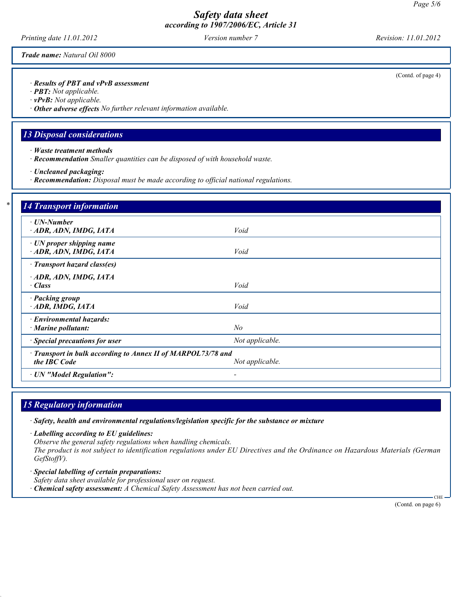Printing date 11.01.2012 Version number 7 Revision: 11.01.2012

Trade name: Natural Oil 8000

· Results of PBT and vPvB assessment

- · PBT: Not applicable.
- · vPvB: Not applicable.
- · Other adverse effects No further relevant information available.

### 13 Disposal considerations

- · Waste treatment methods
- · Recommendation Smaller quantities can be disposed of with household waste.
- · Uncleaned packaging:
- · Recommendation: Disposal must be made according to official national regulations.

| · UN-Number                                                                  |                 |  |
|------------------------------------------------------------------------------|-----------------|--|
| ADR, ADN, IMDG, IATA                                                         | Void            |  |
| $\cdot$ UN proper shipping name<br>ADR, ADN, IMDG, IATA                      | Void            |  |
| · Transport hazard class(es)                                                 |                 |  |
| ADR, ADN, IMDG, IATA                                                         |                 |  |
| · Class                                                                      | Void            |  |
| · Packing group                                                              |                 |  |
| ADR, IMDG, IATA                                                              | Void            |  |
| · Environmental hazards:                                                     |                 |  |
| $\cdot$ Marine pollutant:                                                    | $N_{O}$         |  |
| · Special precautions for user                                               | Not applicable. |  |
|                                                                              |                 |  |
| · Transport in bulk according to Annex II of MARPOL73/78 and<br>the IBC Code | Not applicable. |  |

### 15 Regulatory information

· Safety, health and environmental regulations/legislation specific for the substance or mixture

· Labelling according to EU guidelines:

Observe the general safety regulations when handling chemicals.

The product is not subject to identification regulations under EU Directives and the Ordinance on Hazardous Materials (German GefStoffV).

- · Special labelling of certain preparations: Safety data sheet available for professional user on request.
- $\cdot$  Chemical safety assessment: A Chemical Safety Assessment has not been carried out.

(Contd. on page 6)

 $CHI$ 

(Contd. of page 4)